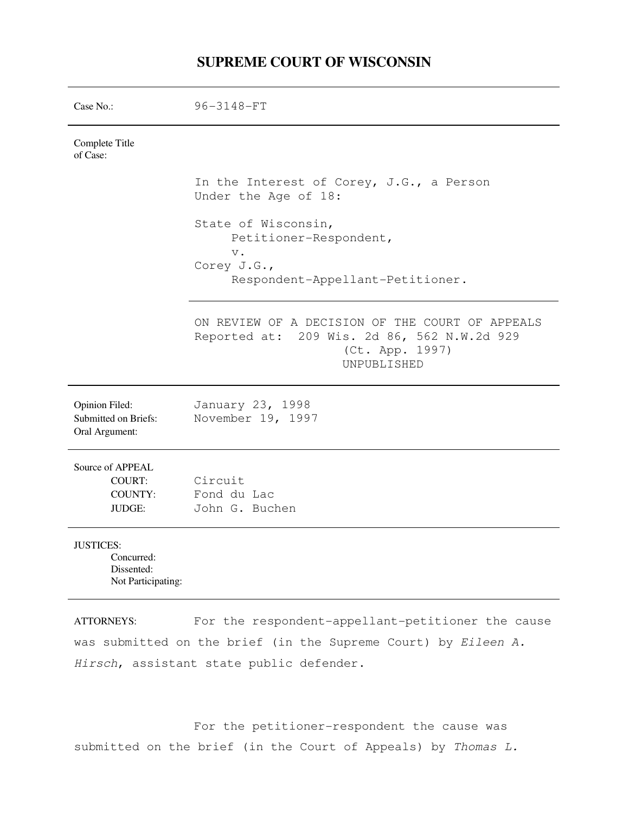# **SUPREME COURT OF WISCONSIN**

| Case No.:                                                          | 96-3148-FT                                                                                                                       |
|--------------------------------------------------------------------|----------------------------------------------------------------------------------------------------------------------------------|
| Complete Title<br>of Case:                                         |                                                                                                                                  |
|                                                                    | In the Interest of Corey, J.G., a Person<br>Under the Age of 18:                                                                 |
|                                                                    | State of Wisconsin,<br>Petitioner-Respondent,<br>$V$ .                                                                           |
|                                                                    | Corey J.G.,<br>Respondent-Appellant-Petitioner.                                                                                  |
|                                                                    | ON REVIEW OF A DECISION OF THE COURT OF APPEALS<br>Reported at: 209 Wis. 2d 86, 562 N.W.2d 929<br>(Ct. App. 1997)<br>UNPUBLISHED |
| Opinion Filed:<br>Submitted on Briefs:<br>Oral Argument:           | January 23, 1998<br>November 19, 1997                                                                                            |
| Source of APPEAL<br><b>COURT:</b><br>COUNTY:<br>JUDGE:             | Circuit<br>Fond du Lac<br>John G. Buchen                                                                                         |
| <b>JUSTICES:</b><br>Concurred:<br>Dissented:<br>Not Participating: |                                                                                                                                  |
| <b>ATTORNEVS·</b>                                                  | For the respondent-annellant-netitioner the cause                                                                                |

ATTORNEYS: For the respondent-appellant-petitioner the cause was submitted on the brief (in the Supreme Court) by Eileen A. Hirsch, assistant state public defender.

 For the petitioner-respondent the cause was submitted on the brief (in the Court of Appeals) by Thomas L.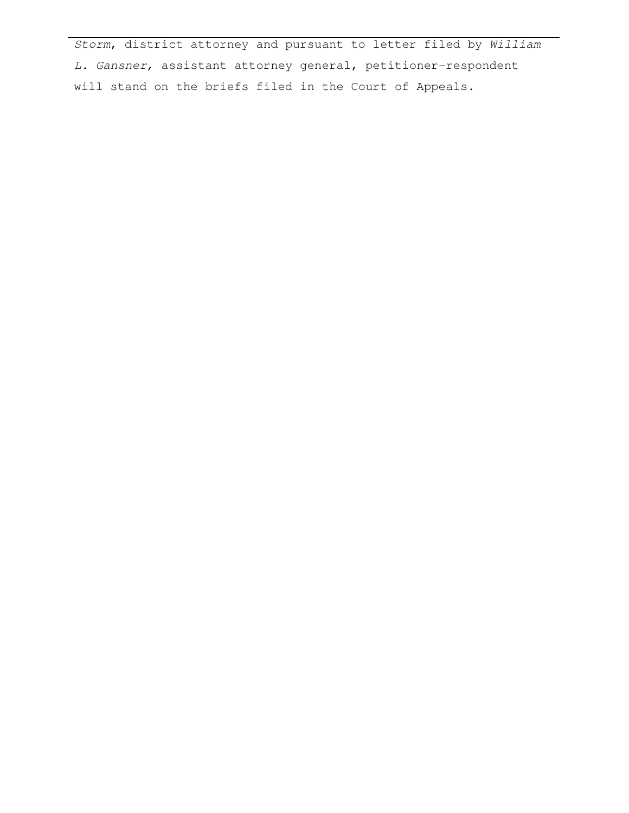Storm, district attorney and pursuant to letter filed by William L. Gansner, assistant attorney general, petitioner-respondent will stand on the briefs filed in the Court of Appeals.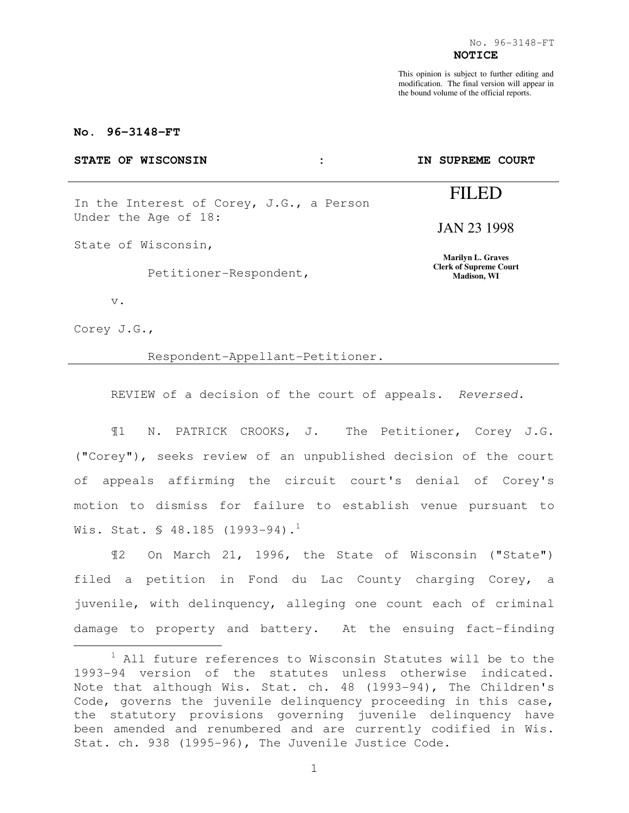This opinion is subject to further editing and modification. The final version will appear in the bound volume of the official reports.

**IN SUPREME COURT** 

FILED

JAN 23 1998

**Marilyn L. Graves Clerk of Supreme Court Madison, WI** 

# **No. 96-3148-FT**

#### STATE OF WISCONSIN :

In the Interest of Corey, J.G., a Person Under the Age of 18:

State of Wisconsin,

Petitioner-Respondent,

v.

Corey J.G.,

e<br>S

#### Respondent-Appellant-Petitioner.

REVIEW of a decision of the court of appeals. Reversed.

¶1 N. PATRICK CROOKS, J. The Petitioner, Corey J.G. ("Corey"), seeks review of an unpublished decision of the court of appeals affirming the circuit court's denial of Corey's motion to dismiss for failure to establish venue pursuant to Wis. Stat.  $\text{\$ }48.185$  (1993-94).<sup>1</sup>

¶2 On March 21, 1996, the State of Wisconsin ("State") filed a petition in Fond du Lac County charging Corey, a juvenile, with delinquency, alleging one count each of criminal damage to property and battery. At the ensuing fact-finding

 $1$  All future references to Wisconsin Statutes will be to the 1993-94 version of the statutes unless otherwise indicated. Note that although Wis. Stat. ch. 48 (1993-94), The Children's Code, governs the juvenile delinquency proceeding in this case, the statutory provisions governing juvenile delinquency have been amended and renumbered and are currently codified in Wis. Stat. ch. 938 (1995-96), The Juvenile Justice Code.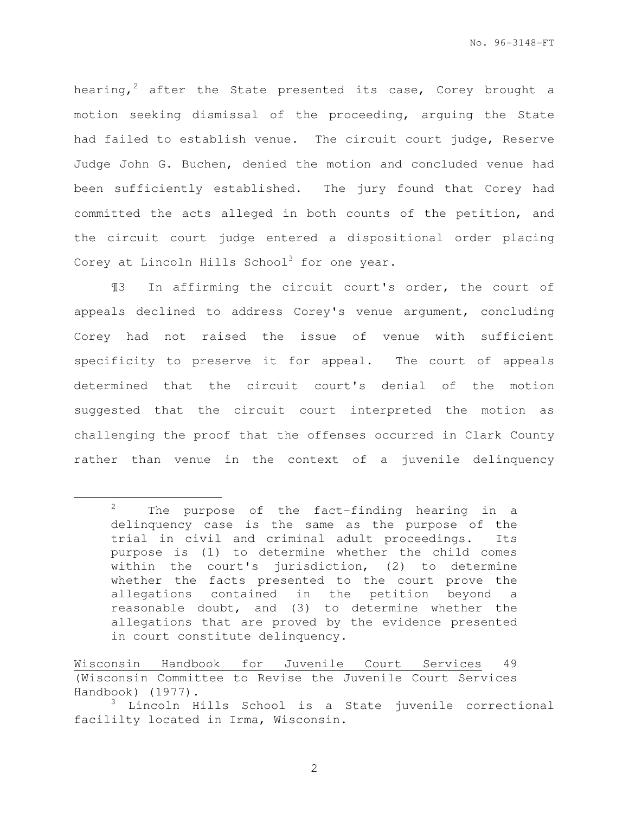hearing,<sup>2</sup> after the State presented its case, Corey brought a motion seeking dismissal of the proceeding, arguing the State had failed to establish venue. The circuit court judge, Reserve Judge John G. Buchen, denied the motion and concluded venue had been sufficiently established. The jury found that Corey had committed the acts alleged in both counts of the petition, and the circuit court judge entered a dispositional order placing Corey at Lincoln Hills School<sup>3</sup> for one year.

¶3 In affirming the circuit court's order, the court of appeals declined to address Corey's venue argument, concluding Corey had not raised the issue of venue with sufficient specificity to preserve it for appeal. The court of appeals determined that the circuit court's denial of the motion suggested that the circuit court interpreted the motion as challenging the proof that the offenses occurred in Clark County rather than venue in the context of a juvenile delinquency

e<br>S

 $2^2$  The purpose of the fact-finding hearing in a delinquency case is the same as the purpose of the trial in civil and criminal adult proceedings. Its purpose is (1) to determine whether the child comes within the court's jurisdiction, (2) to determine whether the facts presented to the court prove the allegations contained in the petition beyond a reasonable doubt, and (3) to determine whether the allegations that are proved by the evidence presented in court constitute delinquency.

Wisconsin Handbook for Juvenile Court Services 49 (Wisconsin Committee to Revise the Juvenile Court Services Handbook) (1977).

<sup>&</sup>lt;sup>3</sup> Lincoln Hills School is a State juvenile correctional facililty located in Irma, Wisconsin.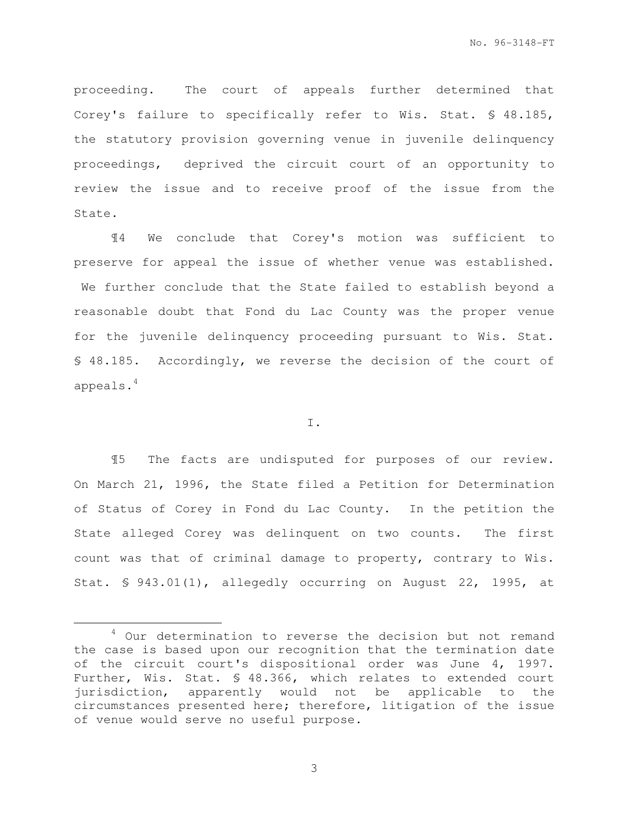proceeding. The court of appeals further determined that Corey's failure to specifically refer to Wis. Stat. § 48.185, the statutory provision governing venue in juvenile delinquency proceedings, deprived the circuit court of an opportunity to review the issue and to receive proof of the issue from the State.

¶4 We conclude that Corey's motion was sufficient to preserve for appeal the issue of whether venue was established. We further conclude that the State failed to establish beyond a reasonable doubt that Fond du Lac County was the proper venue for the juvenile delinquency proceeding pursuant to Wis. Stat. § 48.185. Accordingly, we reverse the decision of the court of appeals.<sup>4</sup>

## I.

¶5 The facts are undisputed for purposes of our review. On March 21, 1996, the State filed a Petition for Determination of Status of Corey in Fond du Lac County. In the petition the State alleged Corey was delinquent on two counts. The first count was that of criminal damage to property, contrary to Wis. Stat. § 943.01(1), allegedly occurring on August 22, 1995, at

e<br>S

<sup>&</sup>lt;sup>4</sup> Our determination to reverse the decision but not remand the case is based upon our recognition that the termination date of the circuit court's dispositional order was June 4, 1997. Further, Wis. Stat. § 48.366, which relates to extended court jurisdiction, apparently would not be applicable to the circumstances presented here; therefore, litigation of the issue of venue would serve no useful purpose.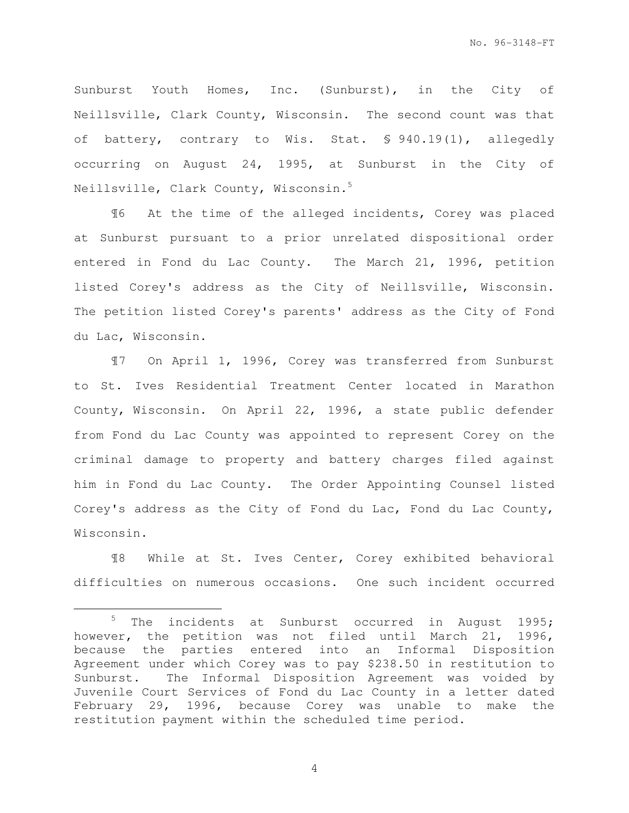Sunburst Youth Homes, Inc. (Sunburst), in the City of Neillsville, Clark County, Wisconsin. The second count was that of battery, contrary to Wis. Stat. § 940.19(1), allegedly occurring on August 24, 1995, at Sunburst in the City of Neillsville, Clark County, Wisconsin.<sup>5</sup>

¶6 At the time of the alleged incidents, Corey was placed at Sunburst pursuant to a prior unrelated dispositional order entered in Fond du Lac County. The March 21, 1996, petition listed Corey's address as the City of Neillsville, Wisconsin. The petition listed Corey's parents' address as the City of Fond du Lac, Wisconsin.

¶7 On April 1, 1996, Corey was transferred from Sunburst to St. Ives Residential Treatment Center located in Marathon County, Wisconsin. On April 22, 1996, a state public defender from Fond du Lac County was appointed to represent Corey on the criminal damage to property and battery charges filed against him in Fond du Lac County. The Order Appointing Counsel listed Corey's address as the City of Fond du Lac, Fond du Lac County, Wisconsin.

¶8 While at St. Ives Center, Corey exhibited behavioral difficulties on numerous occasions. One such incident occurred

e<br>S

 $5$  The incidents at Sunburst occurred in August 1995; however, the petition was not filed until March 21, 1996, because the parties entered into an Informal Disposition Agreement under which Corey was to pay \$238.50 in restitution to Sunburst. The Informal Disposition Agreement was voided by Juvenile Court Services of Fond du Lac County in a letter dated February 29, 1996, because Corey was unable to make the restitution payment within the scheduled time period.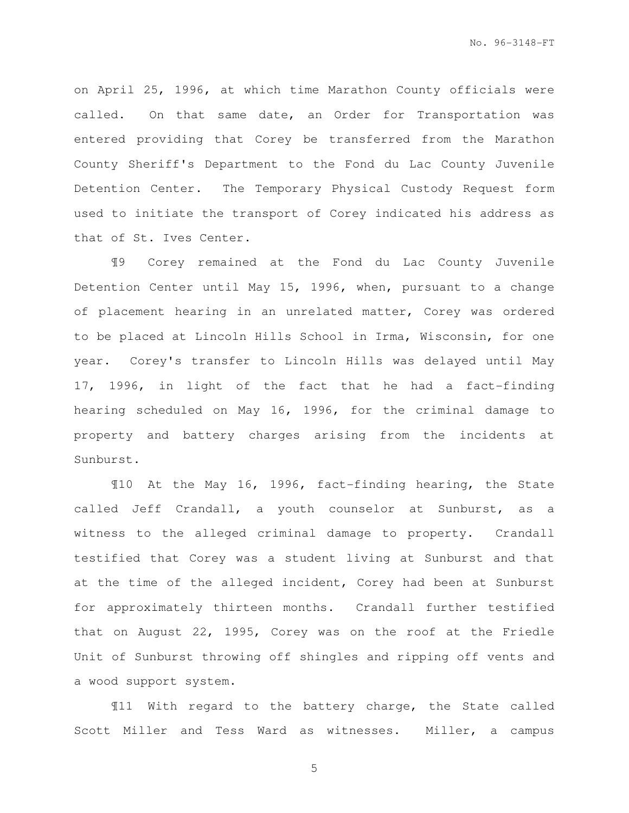on April 25, 1996, at which time Marathon County officials were called. On that same date, an Order for Transportation was entered providing that Corey be transferred from the Marathon County Sheriff's Department to the Fond du Lac County Juvenile Detention Center. The Temporary Physical Custody Request form used to initiate the transport of Corey indicated his address as that of St. Ives Center.

¶9 Corey remained at the Fond du Lac County Juvenile Detention Center until May 15, 1996, when, pursuant to a change of placement hearing in an unrelated matter, Corey was ordered to be placed at Lincoln Hills School in Irma, Wisconsin, for one year. Corey's transfer to Lincoln Hills was delayed until May 17, 1996, in light of the fact that he had a fact-finding hearing scheduled on May 16, 1996, for the criminal damage to property and battery charges arising from the incidents at Sunburst.

¶10 At the May 16, 1996, fact-finding hearing, the State called Jeff Crandall, a youth counselor at Sunburst, as a witness to the alleged criminal damage to property. Crandall testified that Corey was a student living at Sunburst and that at the time of the alleged incident, Corey had been at Sunburst for approximately thirteen months. Crandall further testified that on August 22, 1995, Corey was on the roof at the Friedle Unit of Sunburst throwing off shingles and ripping off vents and a wood support system.

¶11 With regard to the battery charge, the State called Scott Miller and Tess Ward as witnesses. Miller, a campus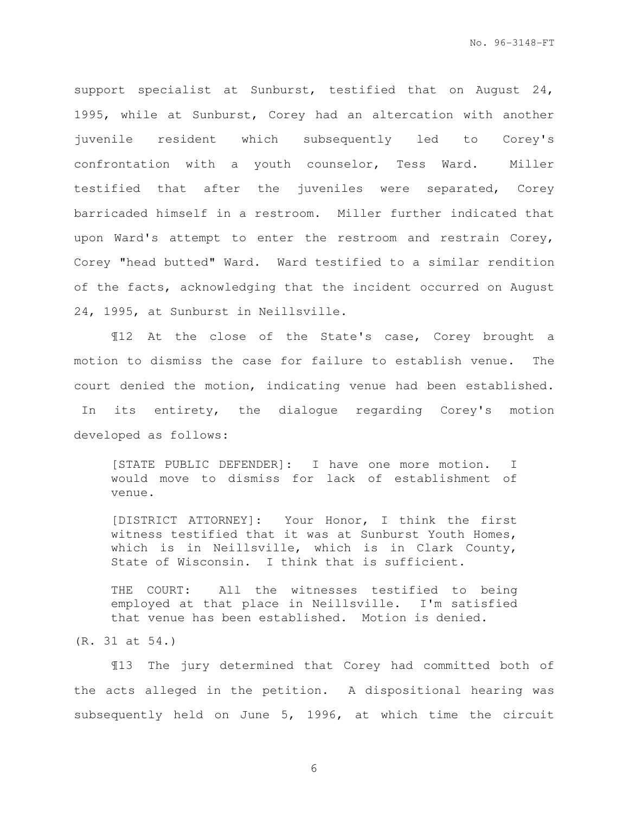support specialist at Sunburst, testified that on August 24, 1995, while at Sunburst, Corey had an altercation with another juvenile resident which subsequently led to Corey's confrontation with a youth counselor, Tess Ward. Miller testified that after the juveniles were separated, Corey barricaded himself in a restroom. Miller further indicated that upon Ward's attempt to enter the restroom and restrain Corey, Corey "head butted" Ward. Ward testified to a similar rendition of the facts, acknowledging that the incident occurred on August 24, 1995, at Sunburst in Neillsville.

¶12 At the close of the State's case, Corey brought a motion to dismiss the case for failure to establish venue. The court denied the motion, indicating venue had been established. In its entirety, the dialogue regarding Corey's motion developed as follows:

[STATE PUBLIC DEFENDER]: I have one more motion. I would move to dismiss for lack of establishment of venue.

[DISTRICT ATTORNEY]: Your Honor, I think the first witness testified that it was at Sunburst Youth Homes, which is in Neillsville, which is in Clark County, State of Wisconsin. I think that is sufficient.

THE COURT: All the witnesses testified to being employed at that place in Neillsville. I'm satisfied that venue has been established. Motion is denied.

(R. 31 at 54.)

¶13 The jury determined that Corey had committed both of the acts alleged in the petition. A dispositional hearing was subsequently held on June 5, 1996, at which time the circuit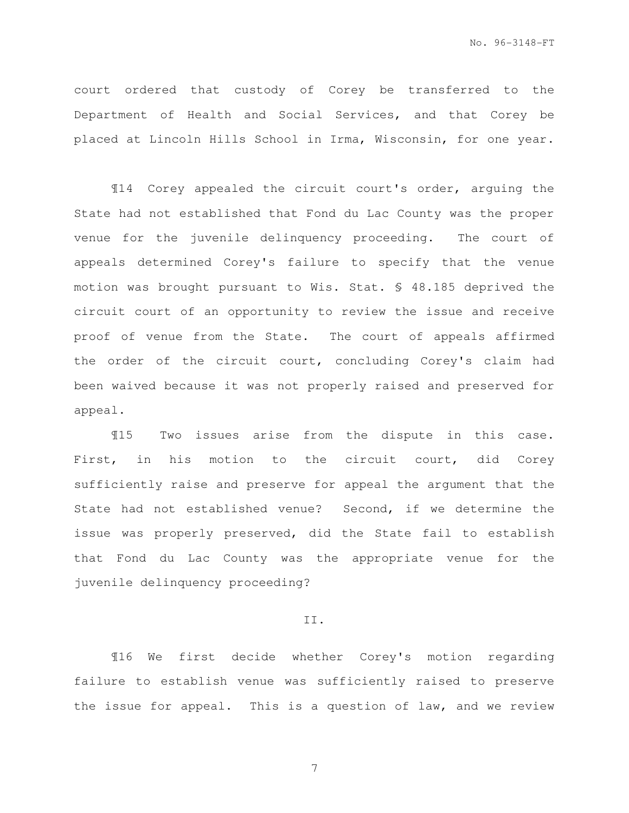court ordered that custody of Corey be transferred to the Department of Health and Social Services, and that Corey be placed at Lincoln Hills School in Irma, Wisconsin, for one year.

¶14 Corey appealed the circuit court's order, arguing the State had not established that Fond du Lac County was the proper venue for the juvenile delinquency proceeding. The court of appeals determined Corey's failure to specify that the venue motion was brought pursuant to Wis. Stat. § 48.185 deprived the circuit court of an opportunity to review the issue and receive proof of venue from the State. The court of appeals affirmed the order of the circuit court, concluding Corey's claim had been waived because it was not properly raised and preserved for appeal.

¶15 Two issues arise from the dispute in this case. First, in his motion to the circuit court, did Corey sufficiently raise and preserve for appeal the argument that the State had not established venue? Second, if we determine the issue was properly preserved, did the State fail to establish that Fond du Lac County was the appropriate venue for the juvenile delinquency proceeding?

#### II.

¶16 We first decide whether Corey's motion regarding failure to establish venue was sufficiently raised to preserve the issue for appeal. This is a question of law, and we review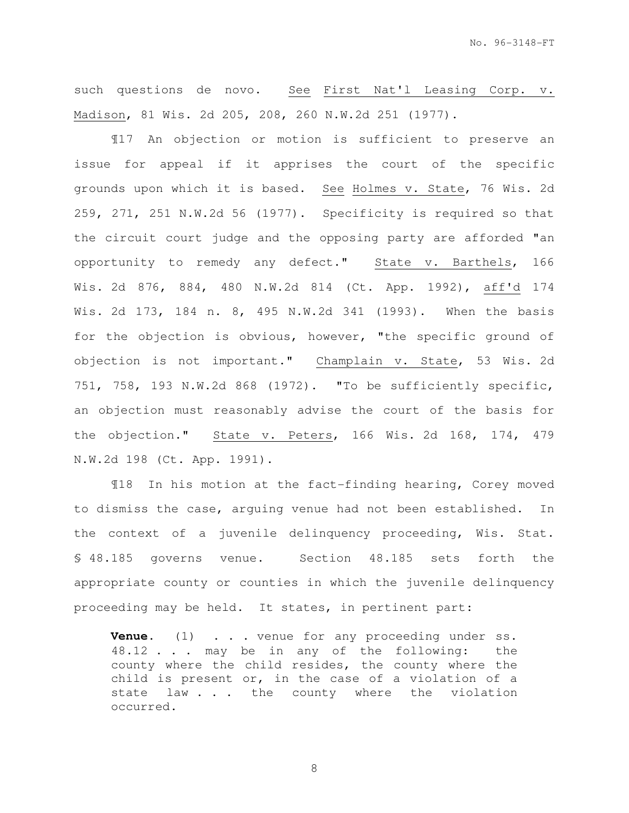such questions de novo. See First Nat'l Leasing Corp. v. Madison, 81 Wis. 2d 205, 208, 260 N.W.2d 251 (1977).

¶17 An objection or motion is sufficient to preserve an issue for appeal if it apprises the court of the specific grounds upon which it is based. See Holmes v. State, 76 Wis. 2d 259, 271, 251 N.W.2d 56 (1977). Specificity is required so that the circuit court judge and the opposing party are afforded "an opportunity to remedy any defect." State v. Barthels, 166 Wis. 2d 876, 884, 480 N.W.2d 814 (Ct. App. 1992), aff'd 174 Wis. 2d 173, 184 n. 8, 495 N.W.2d 341 (1993). When the basis for the objection is obvious, however, "the specific ground of objection is not important." Champlain v. State, 53 Wis. 2d 751, 758, 193 N.W.2d 868 (1972). "To be sufficiently specific, an objection must reasonably advise the court of the basis for the objection." State v. Peters, 166 Wis. 2d 168, 174, 479 N.W.2d 198 (Ct. App. 1991).

¶18 In his motion at the fact-finding hearing, Corey moved to dismiss the case, arguing venue had not been established. In the context of a juvenile delinquency proceeding, Wis. Stat. § 48.185 governs venue. Section 48.185 sets forth the appropriate county or counties in which the juvenile delinquency proceeding may be held. It states, in pertinent part:

**Venue.** (1) . . . venue for any proceeding under ss. 48.12 . . . may be in any of the following: the county where the child resides, the county where the child is present or, in the case of a violation of a state law . . . the county where the violation occurred.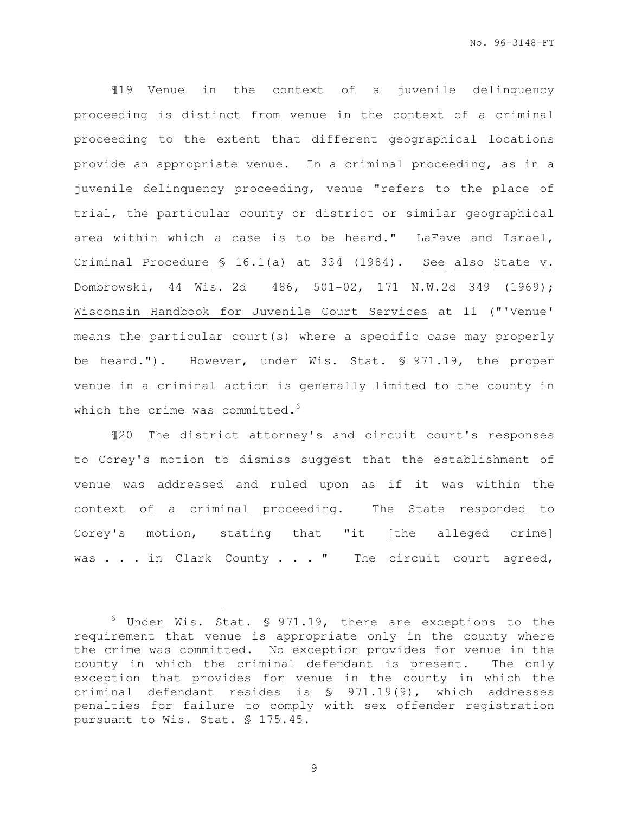¶19 Venue in the context of a juvenile delinquency proceeding is distinct from venue in the context of a criminal proceeding to the extent that different geographical locations provide an appropriate venue. In a criminal proceeding, as in a juvenile delinquency proceeding, venue "refers to the place of trial, the particular county or district or similar geographical area within which a case is to be heard." LaFave and Israel, Criminal Procedure § 16.1(a) at 334 (1984). See also State v. Dombrowski, 44 Wis. 2d 486, 501-02, 171 N.W.2d 349 (1969); Wisconsin Handbook for Juvenile Court Services at 11 ("'Venue' means the particular court(s) where a specific case may properly be heard."). However, under Wis. Stat. § 971.19, the proper venue in a criminal action is generally limited to the county in which the crime was committed.<sup>6</sup>

¶20 The district attorney's and circuit court's responses to Corey's motion to dismiss suggest that the establishment of venue was addressed and ruled upon as if it was within the context of a criminal proceeding. The State responded to Corey's motion, stating that "it [the alleged crime] was . . . in Clark County . . . " The circuit court agreed,

e<br>S

 $6$  Under Wis. Stat. § 971.19, there are exceptions to the requirement that venue is appropriate only in the county where the crime was committed. No exception provides for venue in the county in which the criminal defendant is present. The only exception that provides for venue in the county in which the criminal defendant resides is § 971.19(9), which addresses penalties for failure to comply with sex offender registration pursuant to Wis. Stat. § 175.45.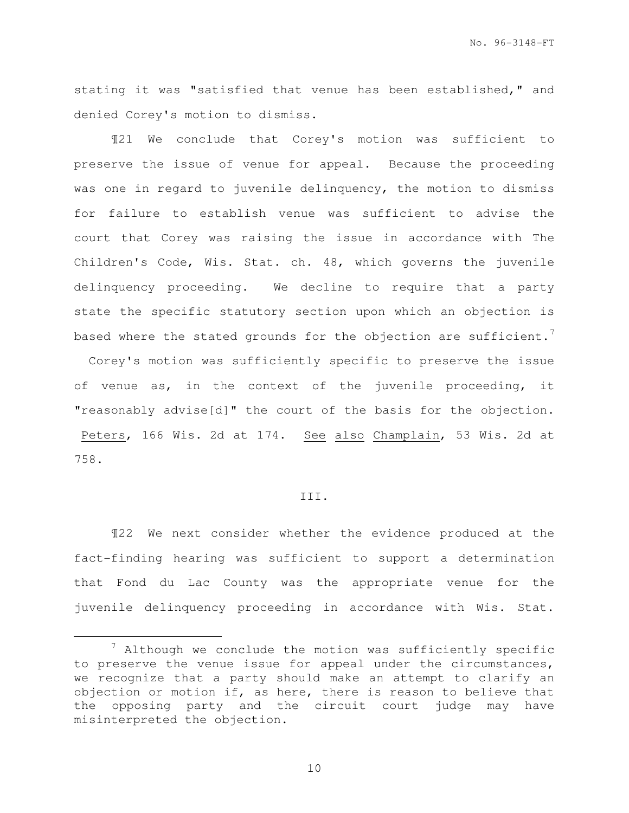No. 96-3148-FT

stating it was "satisfied that venue has been established," and denied Corey's motion to dismiss.

¶21 We conclude that Corey's motion was sufficient to preserve the issue of venue for appeal. Because the proceeding was one in regard to juvenile delinquency, the motion to dismiss for failure to establish venue was sufficient to advise the court that Corey was raising the issue in accordance with The Children's Code, Wis. Stat. ch. 48, which governs the juvenile delinquency proceeding. We decline to require that a party state the specific statutory section upon which an objection is based where the stated grounds for the objection are sufficient.<sup>7</sup>

 Corey's motion was sufficiently specific to preserve the issue of venue as, in the context of the juvenile proceeding, it "reasonably advise[d]" the court of the basis for the objection. Peters, 166 Wis. 2d at 174. See also Champlain, 53 Wis. 2d at 758.

## III.

¶22 We next consider whether the evidence produced at the fact-finding hearing was sufficient to support a determination that Fond du Lac County was the appropriate venue for the juvenile delinquency proceeding in accordance with Wis. Stat.

e<br>S

 $7$  Although we conclude the motion was sufficiently specific to preserve the venue issue for appeal under the circumstances, we recognize that a party should make an attempt to clarify an objection or motion if, as here, there is reason to believe that the opposing party and the circuit court judge may have misinterpreted the objection.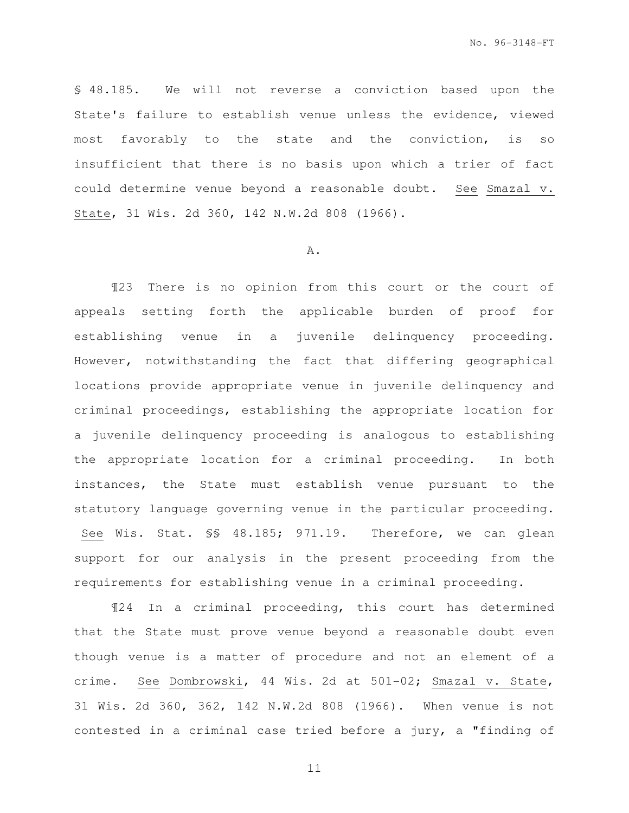§ 48.185. We will not reverse a conviction based upon the State's failure to establish venue unless the evidence, viewed most favorably to the state and the conviction, is so insufficient that there is no basis upon which a trier of fact could determine venue beyond a reasonable doubt. See Smazal v. State, 31 Wis. 2d 360, 142 N.W.2d 808 (1966).

#### A.

¶23 There is no opinion from this court or the court of appeals setting forth the applicable burden of proof for establishing venue in a juvenile delinquency proceeding. However, notwithstanding the fact that differing geographical locations provide appropriate venue in juvenile delinquency and criminal proceedings, establishing the appropriate location for a juvenile delinquency proceeding is analogous to establishing the appropriate location for a criminal proceeding. In both instances, the State must establish venue pursuant to the statutory language governing venue in the particular proceeding. See Wis. Stat. §§ 48.185; 971.19. Therefore, we can glean support for our analysis in the present proceeding from the requirements for establishing venue in a criminal proceeding.

¶24 In a criminal proceeding, this court has determined that the State must prove venue beyond a reasonable doubt even though venue is a matter of procedure and not an element of a crime. See Dombrowski, 44 Wis. 2d at 501-02; Smazal v. State, 31 Wis. 2d 360, 362, 142 N.W.2d 808 (1966). When venue is not contested in a criminal case tried before a jury, a "finding of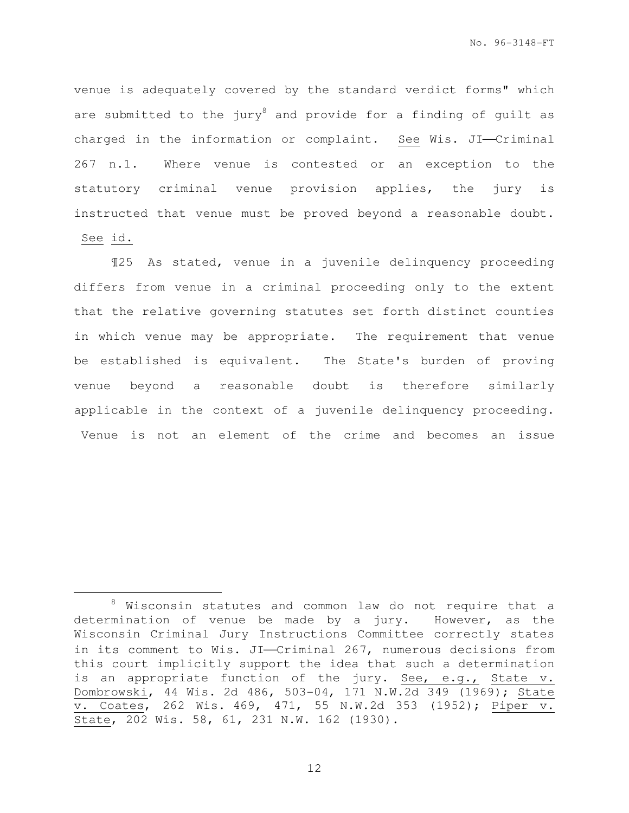venue is adequately covered by the standard verdict forms" which are submitted to the jury<sup>8</sup> and provide for a finding of guilt as charged in the information or complaint. See Wis. JI-Criminal 267 n.1. Where venue is contested or an exception to the statutory criminal venue provision applies, the jury is instructed that venue must be proved beyond a reasonable doubt. See id.

¶25 As stated, venue in a juvenile delinquency proceeding differs from venue in a criminal proceeding only to the extent that the relative governing statutes set forth distinct counties in which venue may be appropriate. The requirement that venue be established is equivalent. The State's burden of proving venue beyond a reasonable doubt is therefore similarly applicable in the context of a juvenile delinquency proceeding. Venue is not an element of the crime and becomes an issue

e<br>S

<sup>8</sup> Wisconsin statutes and common law do not require that a determination of venue be made by a jury. However, as the Wisconsin Criminal Jury Instructions Committee correctly states in its comment to Wis. JI-Criminal 267, numerous decisions from this court implicitly support the idea that such a determination is an appropriate function of the jury. See, e.g., State v. Dombrowski, 44 Wis. 2d 486, 503-04, 171 N.W.2d 349 (1969); State v. Coates, 262 Wis. 469, 471, 55 N.W.2d 353 (1952); Piper v. State, 202 Wis. 58, 61, 231 N.W. 162 (1930).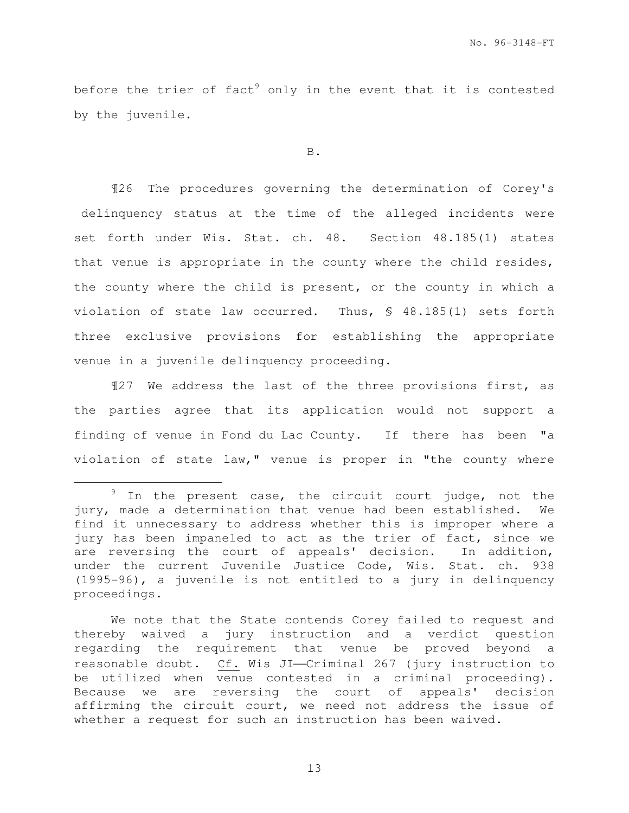before the trier of fact<sup>9</sup> only in the event that it is contested by the juvenile.

#### B.

¶26 The procedures governing the determination of Corey's delinquency status at the time of the alleged incidents were set forth under Wis. Stat. ch. 48. Section 48.185(1) states that venue is appropriate in the county where the child resides, the county where the child is present, or the county in which a violation of state law occurred. Thus, § 48.185(1) sets forth three exclusive provisions for establishing the appropriate venue in a juvenile delinquency proceeding.

¶27 We address the last of the three provisions first, as the parties agree that its application would not support a finding of venue in Fond du Lac County. If there has been "a violation of state law," venue is proper in "the county where

e<br>S

We note that the State contends Corey failed to request and thereby waived a jury instruction and a verdict question regarding the requirement that venue be proved beyond a reasonable doubt. Cf. Wis JI-Criminal 267 (jury instruction to be utilized when venue contested in a criminal proceeding). Because we are reversing the court of appeals' decision affirming the circuit court, we need not address the issue of whether a request for such an instruction has been waived.

 $9$  In the present case, the circuit court judge, not the jury, made a determination that venue had been established. We find it unnecessary to address whether this is improper where a jury has been impaneled to act as the trier of fact, since we are reversing the court of appeals' decision. In addition, under the current Juvenile Justice Code, Wis. Stat. ch. 938 (1995-96), a juvenile is not entitled to a jury in delinquency proceedings.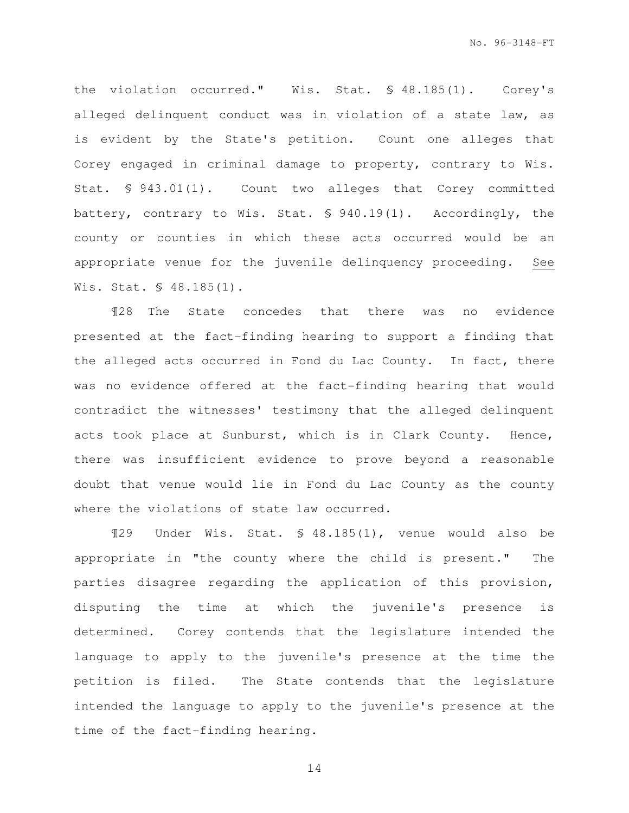the violation occurred." Wis. Stat. § 48.185(1). Corey's alleged delinquent conduct was in violation of a state law, as is evident by the State's petition. Count one alleges that Corey engaged in criminal damage to property, contrary to Wis. Stat. § 943.01(1). Count two alleges that Corey committed battery, contrary to Wis. Stat. § 940.19(1). Accordingly, the county or counties in which these acts occurred would be an appropriate venue for the juvenile delinquency proceeding. See Wis. Stat. § 48.185(1).

¶28 The State concedes that there was no evidence presented at the fact-finding hearing to support a finding that the alleged acts occurred in Fond du Lac County. In fact, there was no evidence offered at the fact-finding hearing that would contradict the witnesses' testimony that the alleged delinquent acts took place at Sunburst, which is in Clark County. Hence, there was insufficient evidence to prove beyond a reasonable doubt that venue would lie in Fond du Lac County as the county where the violations of state law occurred.

¶29 Under Wis. Stat. § 48.185(1), venue would also be appropriate in "the county where the child is present." The parties disagree regarding the application of this provision, disputing the time at which the juvenile's presence is determined. Corey contends that the legislature intended the language to apply to the juvenile's presence at the time the petition is filed. The State contends that the legislature intended the language to apply to the juvenile's presence at the time of the fact-finding hearing.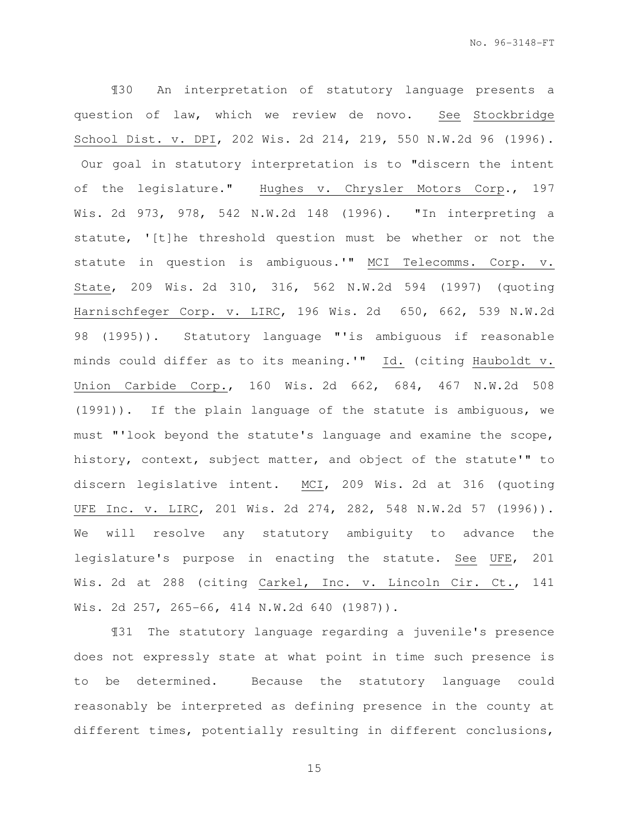¶30 An interpretation of statutory language presents a question of law, which we review de novo. See Stockbridge School Dist. v. DPI, 202 Wis. 2d 214, 219, 550 N.W.2d 96 (1996). Our goal in statutory interpretation is to "discern the intent of the legislature." Hughes v. Chrysler Motors Corp., 197 Wis. 2d 973, 978, 542 N.W.2d 148 (1996). "In interpreting a statute, '[t]he threshold question must be whether or not the statute in question is ambiguous.'" MCI Telecomms. Corp. v. State, 209 Wis. 2d 310, 316, 562 N.W.2d 594 (1997) (quoting Harnischfeger Corp. v. LIRC, 196 Wis. 2d 650, 662, 539 N.W.2d 98 (1995)). Statutory language "'is ambiguous if reasonable minds could differ as to its meaning.'" Id. (citing Hauboldt v. Union Carbide Corp., 160 Wis. 2d 662, 684, 467 N.W.2d 508 (1991)). If the plain language of the statute is ambiguous, we must "'look beyond the statute's language and examine the scope, history, context, subject matter, and object of the statute'" to discern legislative intent. MCI, 209 Wis. 2d at 316 (quoting UFE Inc. v. LIRC, 201 Wis. 2d 274, 282, 548 N.W.2d 57 (1996)). We will resolve any statutory ambiguity to advance the legislature's purpose in enacting the statute. See UFE, 201 Wis. 2d at 288 (citing Carkel, Inc. v. Lincoln Cir. Ct., 141 Wis. 2d 257, 265-66, 414 N.W.2d 640 (1987)).

¶31 The statutory language regarding a juvenile's presence does not expressly state at what point in time such presence is to be determined. Because the statutory language could reasonably be interpreted as defining presence in the county at different times, potentially resulting in different conclusions,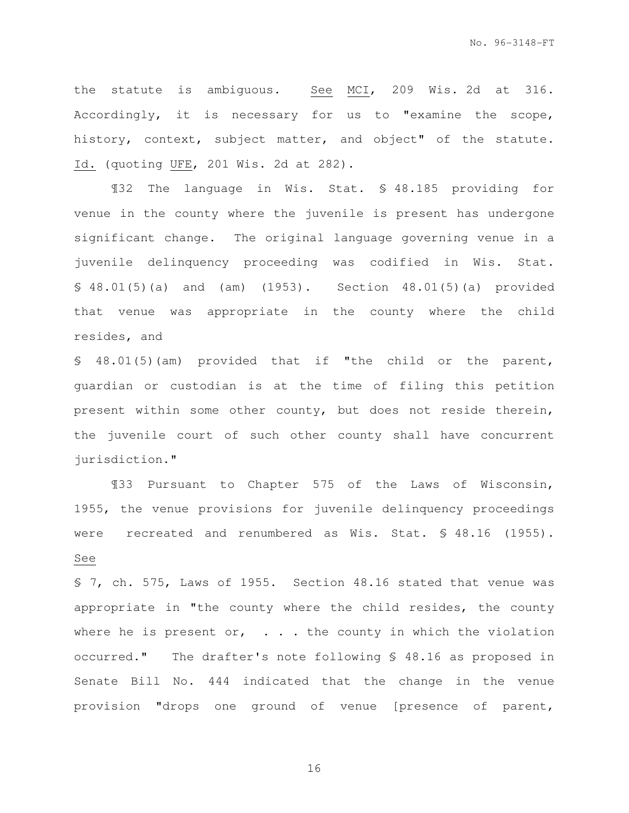the statute is ambiguous. See MCI, 209 Wis. 2d at 316. Accordingly, it is necessary for us to "examine the scope, history, context, subject matter, and object" of the statute. Id. (quoting UFE, 201 Wis. 2d at 282).

¶32 The language in Wis. Stat. § 48.185 providing for venue in the county where the juvenile is present has undergone significant change. The original language governing venue in a juvenile delinquency proceeding was codified in Wis. Stat. § 48.01(5)(a) and (am) (1953). Section 48.01(5)(a) provided that venue was appropriate in the county where the child resides, and

§ 48.01(5)(am) provided that if "the child or the parent, guardian or custodian is at the time of filing this petition present within some other county, but does not reside therein, the juvenile court of such other county shall have concurrent jurisdiction."

¶33 Pursuant to Chapter 575 of the Laws of Wisconsin, 1955, the venue provisions for juvenile delinquency proceedings were recreated and renumbered as Wis. Stat. § 48.16 (1955). See

§ 7, ch. 575, Laws of 1955. Section 48.16 stated that venue was appropriate in "the county where the child resides, the county where he is present or,  $\ldots$  the county in which the violation occurred." The drafter's note following § 48.16 as proposed in Senate Bill No. 444 indicated that the change in the venue provision "drops one ground of venue [presence of parent,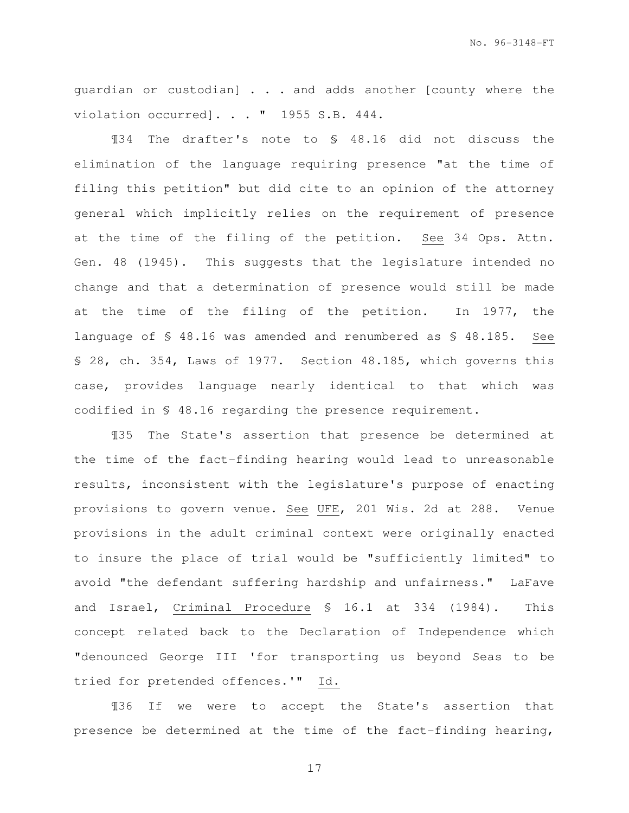guardian or custodian] . . . and adds another [county where the violation occurred]. . . " 1955 S.B. 444.

¶34 The drafter's note to § 48.16 did not discuss the elimination of the language requiring presence "at the time of filing this petition" but did cite to an opinion of the attorney general which implicitly relies on the requirement of presence at the time of the filing of the petition. See 34 Ops. Attn. Gen. 48 (1945). This suggests that the legislature intended no change and that a determination of presence would still be made at the time of the filing of the petition. In 1977, the language of § 48.16 was amended and renumbered as § 48.185. See § 28, ch. 354, Laws of 1977. Section 48.185, which governs this case, provides language nearly identical to that which was codified in § 48.16 regarding the presence requirement.

¶35 The State's assertion that presence be determined at the time of the fact-finding hearing would lead to unreasonable results, inconsistent with the legislature's purpose of enacting provisions to govern venue. See UFE, 201 Wis. 2d at 288. Venue provisions in the adult criminal context were originally enacted to insure the place of trial would be "sufficiently limited" to avoid "the defendant suffering hardship and unfairness." LaFave and Israel, Criminal Procedure § 16.1 at 334 (1984). This concept related back to the Declaration of Independence which "denounced George III 'for transporting us beyond Seas to be tried for pretended offences.'" Id.

¶36 If we were to accept the State's assertion that presence be determined at the time of the fact-finding hearing,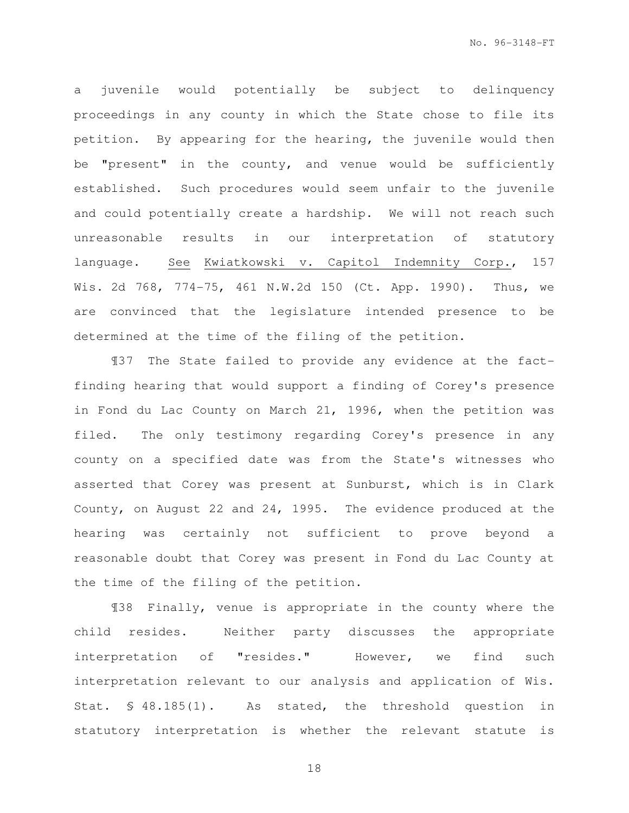a juvenile would potentially be subject to delinquency proceedings in any county in which the State chose to file its petition. By appearing for the hearing, the juvenile would then be "present" in the county, and venue would be sufficiently established. Such procedures would seem unfair to the juvenile and could potentially create a hardship. We will not reach such unreasonable results in our interpretation of statutory language. See Kwiatkowski v. Capitol Indemnity Corp., 157 Wis. 2d 768, 774-75, 461 N.W.2d 150 (Ct. App. 1990). Thus, we are convinced that the legislature intended presence to be determined at the time of the filing of the petition.

¶37 The State failed to provide any evidence at the factfinding hearing that would support a finding of Corey's presence in Fond du Lac County on March 21, 1996, when the petition was filed. The only testimony regarding Corey's presence in any county on a specified date was from the State's witnesses who asserted that Corey was present at Sunburst, which is in Clark County, on August 22 and 24, 1995. The evidence produced at the hearing was certainly not sufficient to prove beyond a reasonable doubt that Corey was present in Fond du Lac County at the time of the filing of the petition.

¶38 Finally, venue is appropriate in the county where the child resides. Neither party discusses the appropriate interpretation of "resides." However, we find such interpretation relevant to our analysis and application of Wis. Stat. § 48.185(1). As stated, the threshold question in statutory interpretation is whether the relevant statute is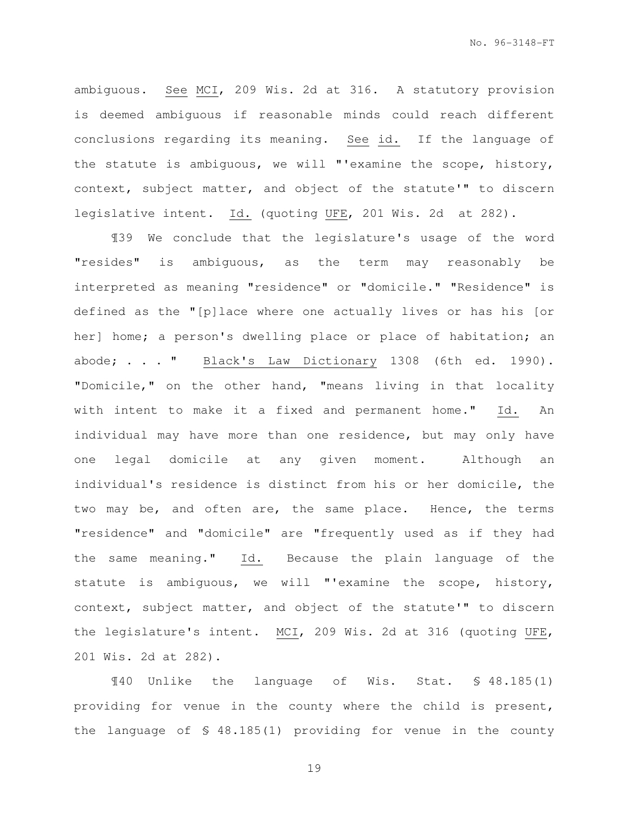ambiguous. See MCI, 209 Wis. 2d at 316. A statutory provision is deemed ambiguous if reasonable minds could reach different conclusions regarding its meaning. See id. If the language of the statute is ambiguous, we will "'examine the scope, history, context, subject matter, and object of the statute'" to discern legislative intent. Id. (quoting UFE, 201 Wis. 2d at 282).

¶39 We conclude that the legislature's usage of the word "resides" is ambiguous, as the term may reasonably be interpreted as meaning "residence" or "domicile." "Residence" is defined as the "[p]lace where one actually lives or has his [or her] home; a person's dwelling place or place of habitation; an abode; . . . " Black's Law Dictionary 1308 (6th ed. 1990). "Domicile," on the other hand, "means living in that locality with intent to make it a fixed and permanent home." Id. An individual may have more than one residence, but may only have one legal domicile at any given moment. Although an individual's residence is distinct from his or her domicile, the two may be, and often are, the same place. Hence, the terms "residence" and "domicile" are "frequently used as if they had the same meaning." Id. Because the plain language of the statute is ambiguous, we will "'examine the scope, history, context, subject matter, and object of the statute'" to discern the legislature's intent. MCI, 209 Wis. 2d at 316 (quoting UFE, 201 Wis. 2d at 282).

¶40 Unlike the language of Wis. Stat. § 48.185(1) providing for venue in the county where the child is present, the language of § 48.185(1) providing for venue in the county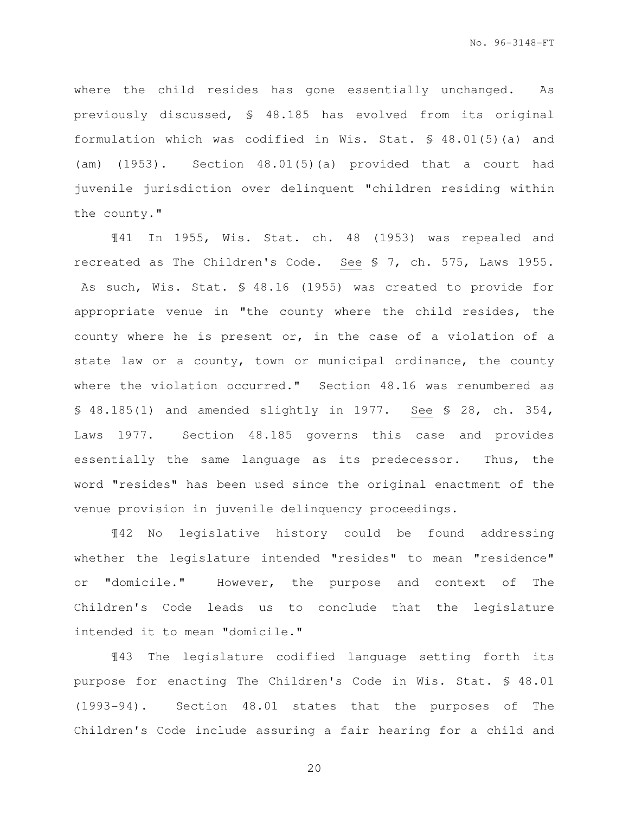where the child resides has gone essentially unchanged. As previously discussed, § 48.185 has evolved from its original formulation which was codified in Wis. Stat. § 48.01(5)(a) and (am) (1953). Section 48.01(5)(a) provided that a court had juvenile jurisdiction over delinquent "children residing within the county."

¶41 In 1955, Wis. Stat. ch. 48 (1953) was repealed and recreated as The Children's Code. See § 7, ch. 575, Laws 1955. As such, Wis. Stat. § 48.16 (1955) was created to provide for appropriate venue in "the county where the child resides, the county where he is present or, in the case of a violation of a state law or a county, town or municipal ordinance, the county where the violation occurred." Section 48.16 was renumbered as § 48.185(1) and amended slightly in 1977. See § 28, ch. 354, Laws 1977. Section 48.185 governs this case and provides essentially the same language as its predecessor. Thus, the word "resides" has been used since the original enactment of the venue provision in juvenile delinquency proceedings.

¶42 No legislative history could be found addressing whether the legislature intended "resides" to mean "residence" or "domicile." However, the purpose and context of The Children's Code leads us to conclude that the legislature intended it to mean "domicile."

¶43 The legislature codified language setting forth its purpose for enacting The Children's Code in Wis. Stat. § 48.01 (1993-94). Section 48.01 states that the purposes of The Children's Code include assuring a fair hearing for a child and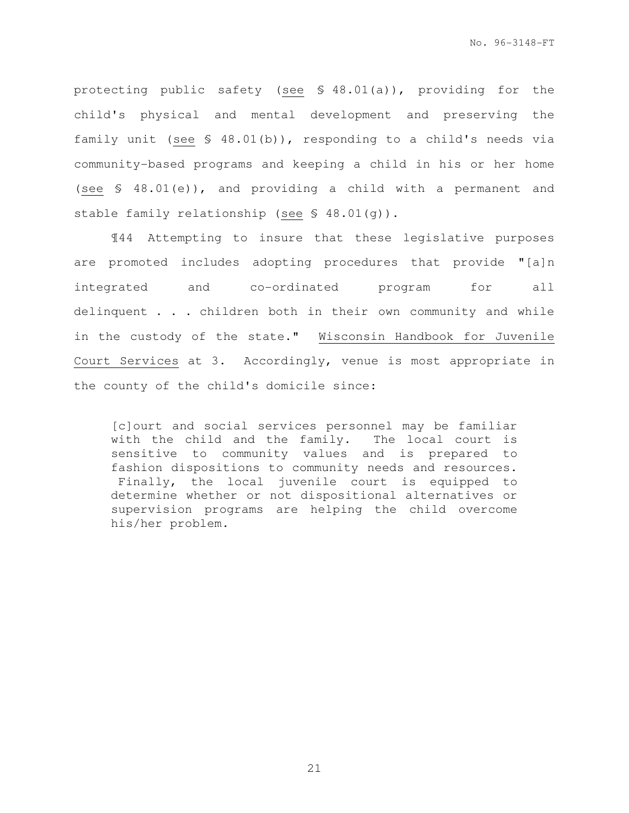protecting public safety (see § 48.01(a)), providing for the child's physical and mental development and preserving the family unit (see § 48.01(b)), responding to a child's needs via community-based programs and keeping a child in his or her home (see § 48.01(e)), and providing a child with a permanent and stable family relationship (see § 48.01(g)).

¶44 Attempting to insure that these legislative purposes are promoted includes adopting procedures that provide "[a]n integrated and co-ordinated program for all delinquent . . . children both in their own community and while in the custody of the state." Wisconsin Handbook for Juvenile Court Services at 3. Accordingly, venue is most appropriate in the county of the child's domicile since:

[c]ourt and social services personnel may be familiar with the child and the family. The local court is sensitive to community values and is prepared to fashion dispositions to community needs and resources. Finally, the local juvenile court is equipped to determine whether or not dispositional alternatives or supervision programs are helping the child overcome his/her problem.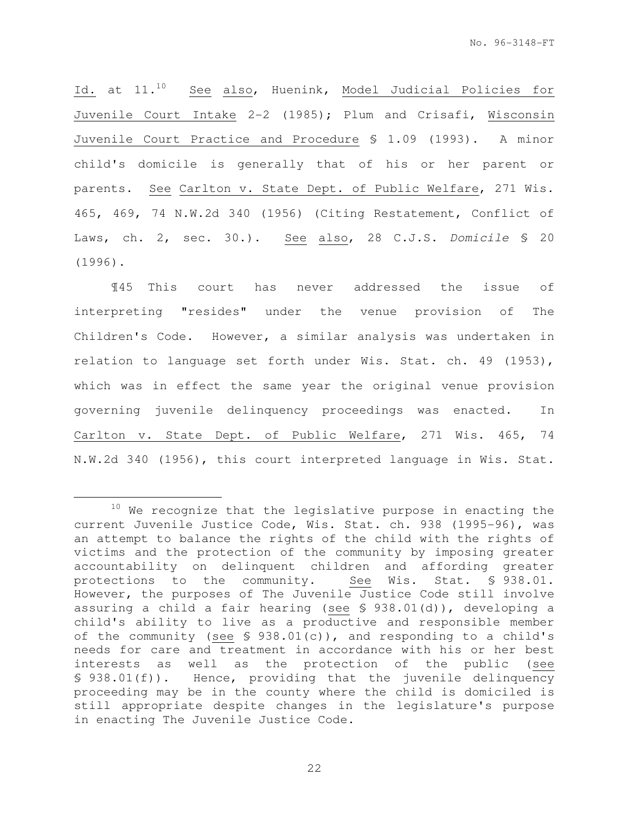Id. at 11.<sup>10</sup> See also, Huenink, Model Judicial Policies for Juvenile Court Intake 2-2 (1985); Plum and Crisafi, Wisconsin Juvenile Court Practice and Procedure § 1.09 (1993). A minor child's domicile is generally that of his or her parent or parents. See Carlton v. State Dept. of Public Welfare, 271 Wis. 465, 469, 74 N.W.2d 340 (1956) (Citing Restatement, Conflict of Laws, ch. 2, sec. 30.). See also, 28 C.J.S. Domicile § 20 (1996).

¶45 This court has never addressed the issue of interpreting "resides" under the venue provision of The Children's Code. However, a similar analysis was undertaken in relation to language set forth under Wis. Stat. ch. 49 (1953), which was in effect the same year the original venue provision governing juvenile delinquency proceedings was enacted. In Carlton v. State Dept. of Public Welfare, 271 Wis. 465, 74 N.W.2d 340 (1956), this court interpreted language in Wis. Stat.

e<br>S

 $10$  We recognize that the legislative purpose in enacting the current Juvenile Justice Code, Wis. Stat. ch. 938 (1995-96), was an attempt to balance the rights of the child with the rights of victims and the protection of the community by imposing greater accountability on delinquent children and affording greater<br>protections to the community. See Wis. Stat. § 938.01. protections to the community. However, the purposes of The Juvenile Justice Code still involve assuring a child a fair hearing (see § 938.01(d)), developing a child's ability to live as a productive and responsible member of the community (see § 938.01(c)), and responding to a child's needs for care and treatment in accordance with his or her best interests as well as the protection of the public (see § 938.01(f)). Hence, providing that the juvenile delinquency proceeding may be in the county where the child is domiciled is still appropriate despite changes in the legislature's purpose in enacting The Juvenile Justice Code.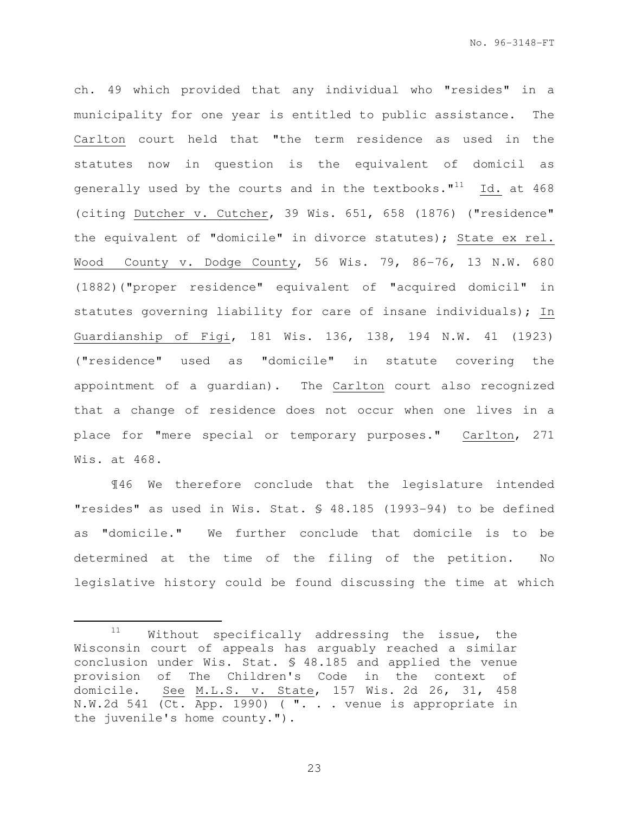ch. 49 which provided that any individual who "resides" in a municipality for one year is entitled to public assistance. The Carlton court held that "the term residence as used in the statutes now in question is the equivalent of domicil as generally used by the courts and in the textbooks. $"^{11}$  Id. at 468 (citing Dutcher v. Cutcher, 39 Wis. 651, 658 (1876) ("residence" the equivalent of "domicile" in divorce statutes); State ex rel. Wood County v. Dodge County, 56 Wis. 79, 86-76, 13 N.W. 680 (1882)("proper residence" equivalent of "acquired domicil" in statutes governing liability for care of insane individuals); In Guardianship of Figi, 181 Wis. 136, 138, 194 N.W. 41 (1923) ("residence" used as "domicile" in statute covering the appointment of a guardian). The Carlton court also recognized that a change of residence does not occur when one lives in a place for "mere special or temporary purposes." Carlton, 271 Wis. at 468.

¶46 We therefore conclude that the legislature intended "resides" as used in Wis. Stat. § 48.185 (1993-94) to be defined as "domicile." We further conclude that domicile is to be determined at the time of the filing of the petition. No legislative history could be found discussing the time at which

e<br>S

 $11$  Without specifically addressing the issue, the Wisconsin court of appeals has arguably reached a similar conclusion under Wis. Stat. § 48.185 and applied the venue provision of The Children's Code in the context of domicile. See M.L.S. v. State, 157 Wis. 2d 26, 31, 458 N.W.2d 541 (Ct. App. 1990) ( ". . . venue is appropriate in the juvenile's home county.").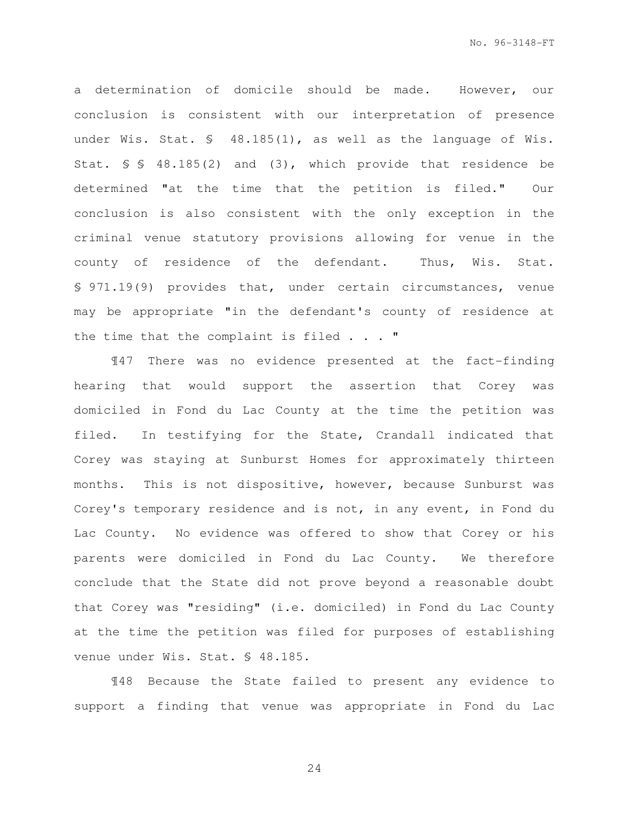a determination of domicile should be made. However, our conclusion is consistent with our interpretation of presence under Wis. Stat. § 48.185(1), as well as the language of Wis. Stat. § § 48.185(2) and (3), which provide that residence be determined "at the time that the petition is filed." Our conclusion is also consistent with the only exception in the criminal venue statutory provisions allowing for venue in the county of residence of the defendant. Thus, Wis. Stat. § 971.19(9) provides that, under certain circumstances, venue may be appropriate "in the defendant's county of residence at the time that the complaint is filed . . . "

¶47 There was no evidence presented at the fact-finding hearing that would support the assertion that Corey was domiciled in Fond du Lac County at the time the petition was filed. In testifying for the State, Crandall indicated that Corey was staying at Sunburst Homes for approximately thirteen months. This is not dispositive, however, because Sunburst was Corey's temporary residence and is not, in any event, in Fond du Lac County. No evidence was offered to show that Corey or his parents were domiciled in Fond du Lac County. We therefore conclude that the State did not prove beyond a reasonable doubt that Corey was "residing" (i.e. domiciled) in Fond du Lac County at the time the petition was filed for purposes of establishing venue under Wis. Stat. § 48.185.

¶48 Because the State failed to present any evidence to support a finding that venue was appropriate in Fond du Lac